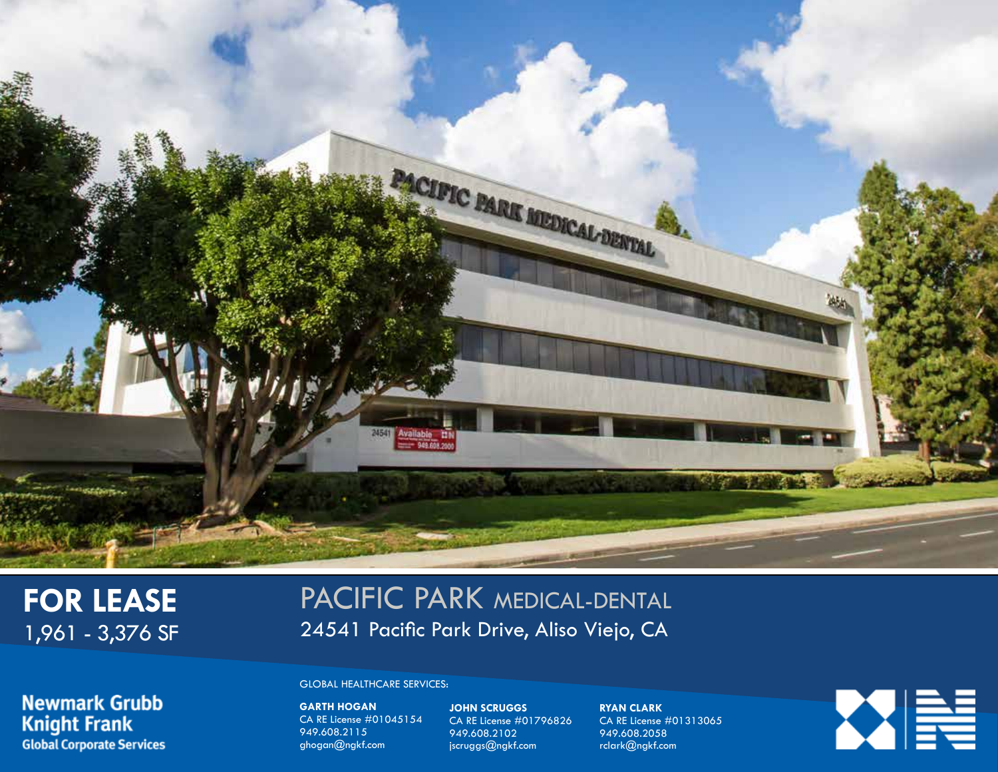

# **FOR LEASE** 1,961 - 3,376 SF

# PACIFIC PARK MEDICAL-DENTAL 24541 Pacific Park Drive, Aliso Viejo, CA

**Newmark Grubb Knight Frank Global Corporate Services** 

#### $G(OPA)$ GLOBAL HEALTHCARE SERVICES:

**GARTH HOGAN**  $94811110$ CA RE License #01045154 ghogan@ngkf.com jscruggs@ngkf.com rclark@ngkf.com 949.608.2115 ghogan@ngkf.com

**JOHN SCRUGGS** 95.6008.<br>2002.21 CA RE License #01796826 949.608.2102

**RYAN CLARK**  $\frac{948}{20}$ CA RE License #01313065 949.608.2058 rclark@ngkf.com

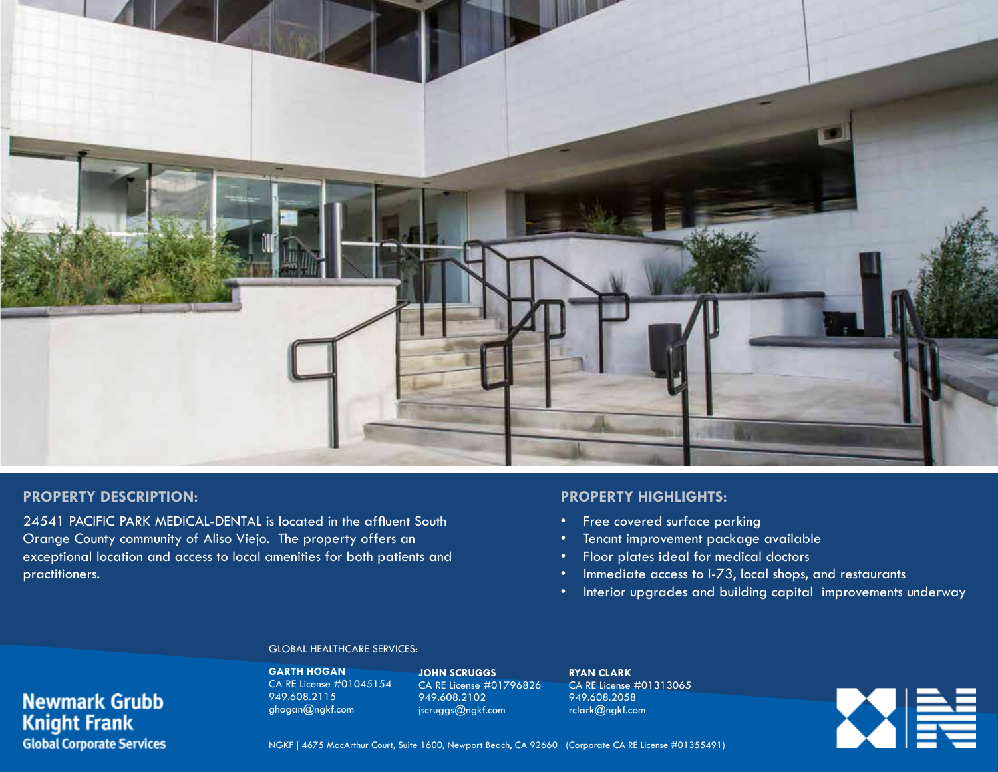

## **PROPERTY DESCRIPTION:**

**Newmark Grubb** 

**Global Corporate Services** 

**Knight Frank** 

24541 PACIFIC PARK MEDICAL-DENTAL is located in the affluent South Orange County community of Aliso Viejo. The property offers an exceptional location and access to local amenities for both patients and practitioners.

## **PROPERTY HIGHLIGHTS:**

- Free covered surface parking
- Tenant improvement package available
- Floor plates ideal for medical doctors
- Immediate access to I-73, local shops, and restaurants
- Interior upgrades and building capital improvements underway

#### GLOBAL HEALTHCARE SERVICES:

**GARTH HOGAN** CA RE License #01045154 949.608.2115 ghogan@ngkf.com

**JOHN SCRUGGS** CA RE License #01796826 949.608.2102 jscruggs@ngkf.com

**RYAN CLARK** CA RE License #01313065 949.608.2058 rclark@ngkf.com

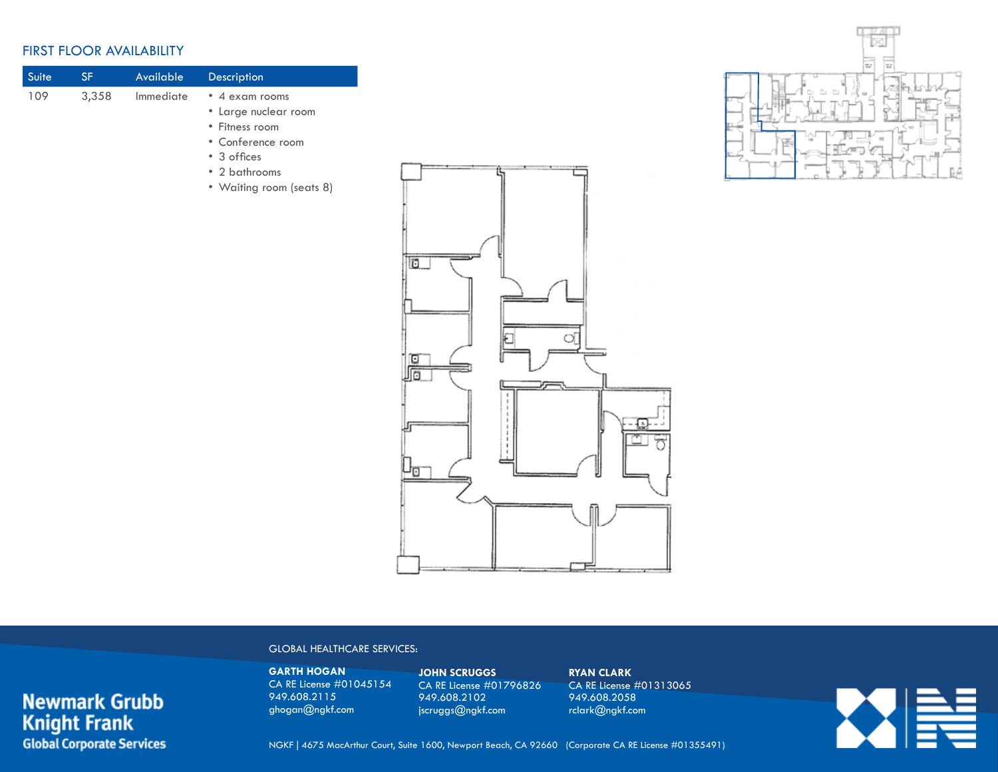## FIRST FLOOR AVAILABILITY

**Newmark Grubb** 

**Global Corporate Services** 

**Knight Frank** 

| Suite | SF    | <b>Available</b> | <b>Description</b>       |
|-------|-------|------------------|--------------------------|
| 109   | 3,358 | Immediate        | • 4 exam rooms           |
|       |       |                  | • Large nuclear room     |
|       |       |                  | • Fitness room           |
|       |       |                  | • Conference room        |
|       |       |                  | • 3 offices              |
|       |       |                  | • 2 bathrooms            |
|       |       |                  | • Waiting room (seats 8) |





#### GLOBAL HEALTHCARE SERVICES:

**GARTH HOGAN** CA RE License #01045154 949.608.2115 ghogan@ngkf.com

**JOHN SCRUGGS** CA RE License #01796826 949.608.2102 jscruggs@ngkf.com

**RYAN CLARK** CA RE License #01313065 949.608.2058 rclark@ngkf.com

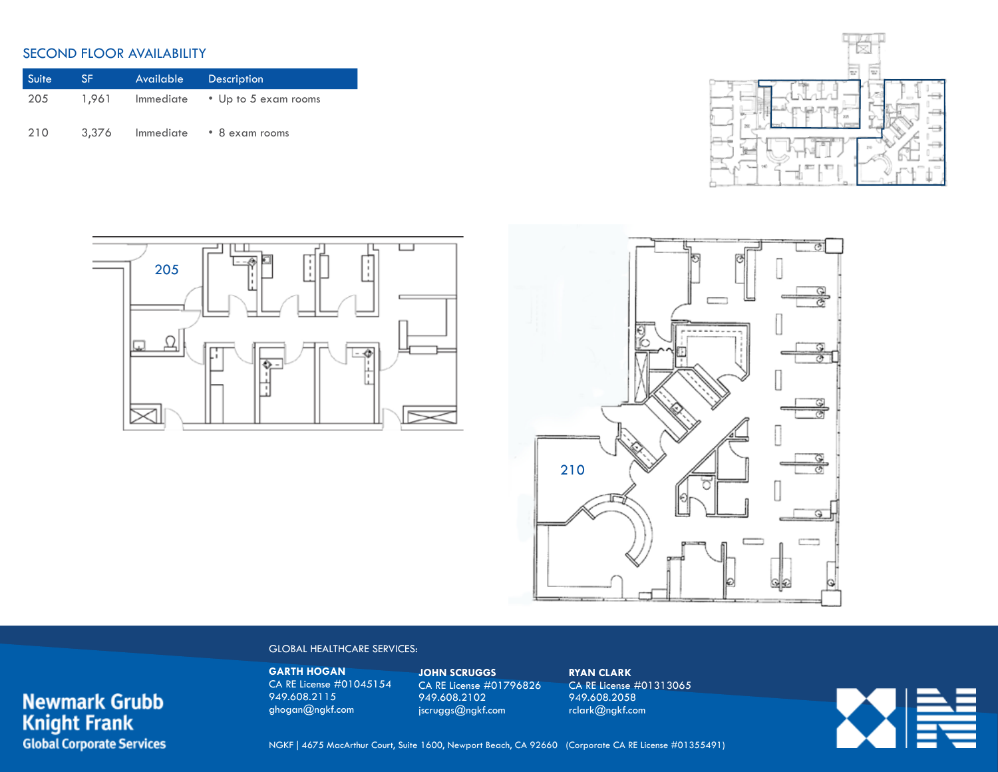## SECOND FLOOR AVAILABILITY

**Newmark Grubb**<br>Knight Frank

**Global Corporate Services** 

| Suite | SF.   | Available | <b>Description</b>   |
|-------|-------|-----------|----------------------|
| 205   | 1.961 | Immediate | • Up to 5 exam rooms |
| 210   | 3,376 | Immediate | • 8 exam rooms       |







#### GLOBAL HEALTHCARE SERVICES:

**GARTH HOGAN** CA RE License #01045154 949.608.2115 ghogan@ngkf.com

**JOHN SCRUGGS** CA RE License #01796826 949.608.2102 jscruggs@ngkf.com

**RYAN CLARK** CA RE License #01313065 949.608.2058 rclark@ngkf.com

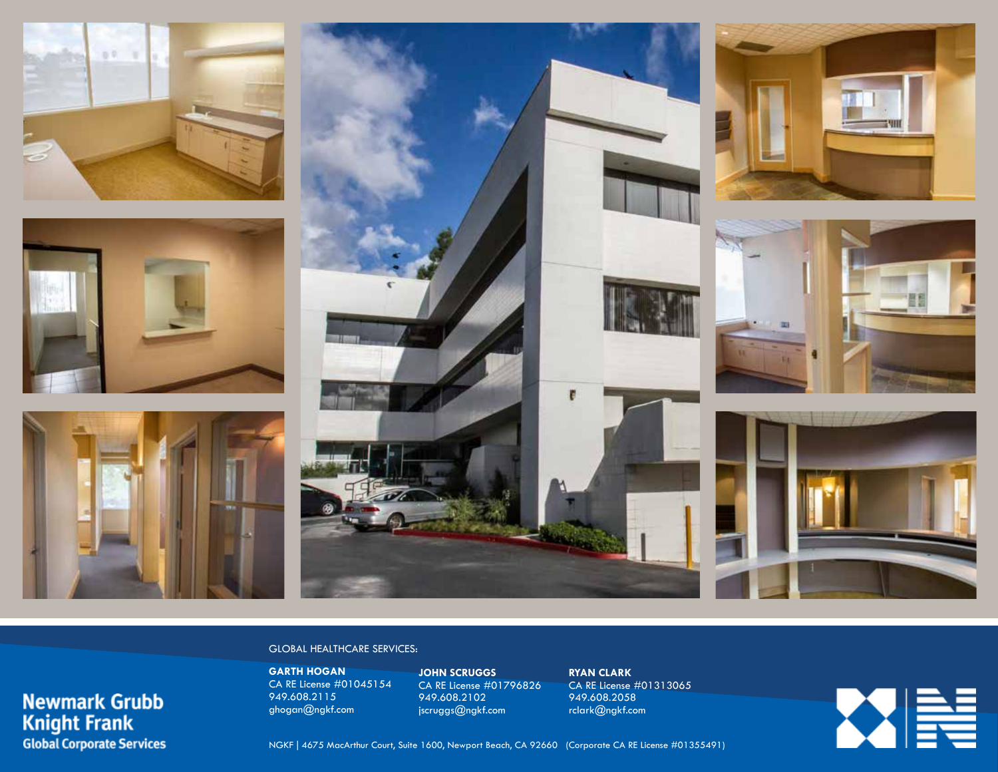





**Newmark Grubb** 

**Global Corporate Services** 

**Knight Frank** 



### GLOBAL HEALTHCARE SERVICES:

**GARTH HOGAN** CA RE License #01045154 949.608.2115 ghogan@ngkf.com

**JOHN SCRUGGS** CA RE License #01796826 949.608.2102 jscruggs@ngkf.com

**RYAN CLARK** CA RE License #01313065 949.608.2058 rclark@ngkf.com